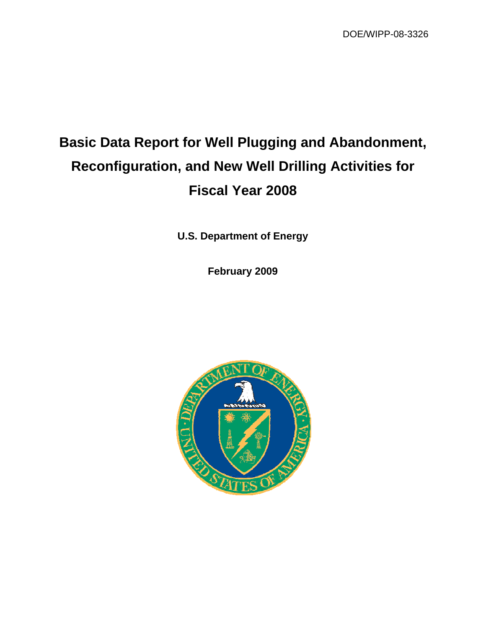DOE/WIPP-08-3326

# **Basic Data Report for Well Plugging and Abandonment, Reconfiguration, and New Well Drilling Activities for Fiscal Year 2008**

**U.S. Department of Energy** 

**February 2009** 

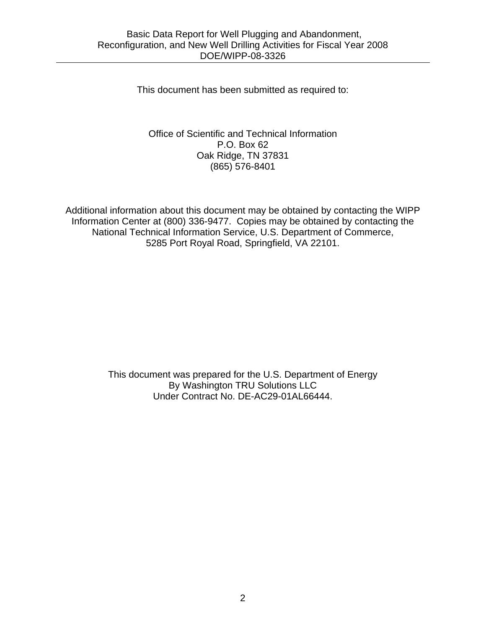This document has been submitted as required to:

#### Office of Scientific and Technical Information P.O. Box 62 Oak Ridge, TN 37831 (865) 576-8401

Additional information about this document may be obtained by contacting the WIPP Information Center at (800) 336-9477. Copies may be obtained by contacting the National Technical Information Service, U.S. Department of Commerce, 5285 Port Royal Road, Springfield, VA 22101.

> This document was prepared for the U.S. Department of Energy By Washington TRU Solutions LLC Under Contract No. DE-AC29-01AL66444.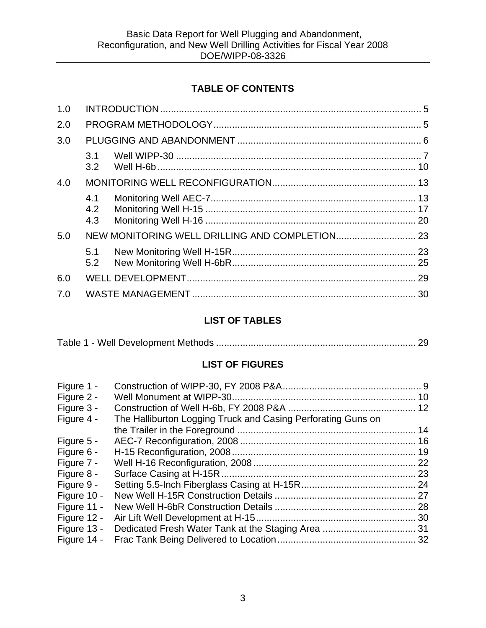## **TABLE OF CONTENTS**

| 1.0 |                   |  |  |
|-----|-------------------|--|--|
| 2.0 |                   |  |  |
| 3.0 |                   |  |  |
|     | 3.1<br>3.2        |  |  |
| 4.0 |                   |  |  |
|     | 4.1<br>4.2<br>4.3 |  |  |
| 5.0 |                   |  |  |
|     | 5.1<br>5.2        |  |  |
| 6.0 |                   |  |  |
| 7.0 |                   |  |  |
|     |                   |  |  |

# **LIST OF TABLES**

|--|--|--|--|

## **LIST OF FIGURES**

| Figure 1 -  |                                                              |  |
|-------------|--------------------------------------------------------------|--|
| Figure 2 -  |                                                              |  |
| Figure 3 -  |                                                              |  |
| Figure 4 -  | The Halliburton Logging Truck and Casing Perforating Guns on |  |
|             |                                                              |  |
| Figure 5 -  |                                                              |  |
| Figure 6 -  |                                                              |  |
| Figure 7 -  |                                                              |  |
| Figure 8 -  |                                                              |  |
| Figure 9 -  |                                                              |  |
| Figure 10 - |                                                              |  |
| Figure 11 - |                                                              |  |
| Figure 12 - |                                                              |  |
| Figure 13 - |                                                              |  |
| Figure 14 - |                                                              |  |
|             |                                                              |  |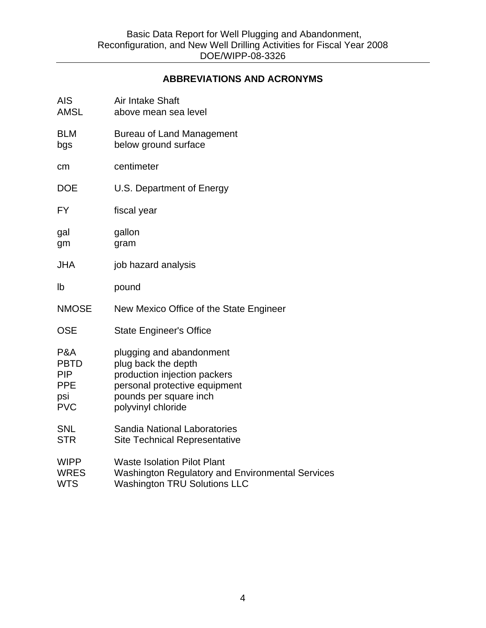#### **ABBREVIATIONS AND ACRONYMS**

| <b>AIS</b><br><b>AMSL</b>                                           | <b>Air Intake Shaft</b><br>above mean sea level                                                                                                                  |
|---------------------------------------------------------------------|------------------------------------------------------------------------------------------------------------------------------------------------------------------|
| <b>BLM</b><br>bgs                                                   | <b>Bureau of Land Management</b><br>below ground surface                                                                                                         |
| cm                                                                  | centimeter                                                                                                                                                       |
| <b>DOE</b>                                                          | U.S. Department of Energy                                                                                                                                        |
| <b>FY</b>                                                           | fiscal year                                                                                                                                                      |
| gal<br>gm                                                           | gallon<br>gram                                                                                                                                                   |
| <b>JHA</b>                                                          | job hazard analysis                                                                                                                                              |
| lb                                                                  | pound                                                                                                                                                            |
| <b>NMOSE</b>                                                        | New Mexico Office of the State Engineer                                                                                                                          |
| <b>OSE</b>                                                          | <b>State Engineer's Office</b>                                                                                                                                   |
| P&A<br><b>PBTD</b><br><b>PIP</b><br><b>PPE</b><br>psi<br><b>PVC</b> | plugging and abandonment<br>plug back the depth<br>production injection packers<br>personal protective equipment<br>pounds per square inch<br>polyvinyl chloride |
| <b>SNL</b><br><b>STR</b>                                            | Sandia National Laboratories<br><b>Site Technical Representative</b>                                                                                             |
| <b>WIPP</b><br><b>WRES</b><br><b>WTS</b>                            | <b>Waste Isolation Pilot Plant</b><br><b>Washington Regulatory and Environmental Services</b><br><b>Washington TRU Solutions LLC</b>                             |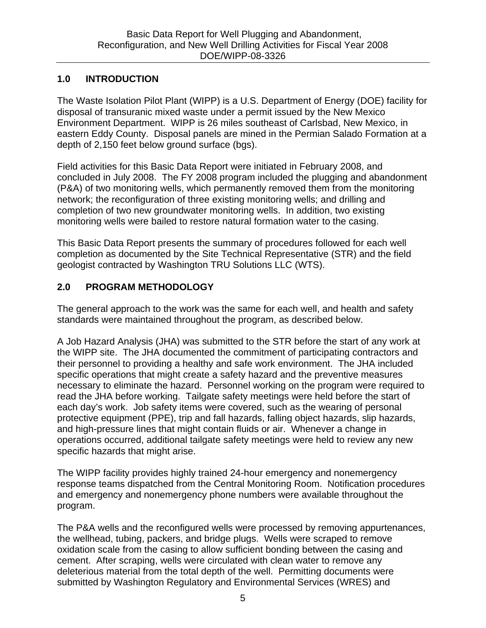#### **1.0 INTRODUCTION**

The Waste Isolation Pilot Plant (WIPP) is a U.S. Department of Energy (DOE) facility for disposal of transuranic mixed waste under a permit issued by the New Mexico Environment Department. WIPP is 26 miles southeast of Carlsbad, New Mexico, in eastern Eddy County. Disposal panels are mined in the Permian Salado Formation at a depth of 2,150 feet below ground surface (bgs).

Field activities for this Basic Data Report were initiated in February 2008, and concluded in July 2008. The FY 2008 program included the plugging and abandonment (P&A) of two monitoring wells, which permanently removed them from the monitoring network; the reconfiguration of three existing monitoring wells; and drilling and completion of two new groundwater monitoring wells. In addition, two existing monitoring wells were bailed to restore natural formation water to the casing.

This Basic Data Report presents the summary of procedures followed for each well completion as documented by the Site Technical Representative (STR) and the field geologist contracted by Washington TRU Solutions LLC (WTS).

## **2.0 PROGRAM METHODOLOGY**

The general approach to the work was the same for each well, and health and safety standards were maintained throughout the program, as described below.

A Job Hazard Analysis (JHA) was submitted to the STR before the start of any work at the WIPP site. The JHA documented the commitment of participating contractors and their personnel to providing a healthy and safe work environment. The JHA included specific operations that might create a safety hazard and the preventive measures necessary to eliminate the hazard. Personnel working on the program were required to read the JHA before working. Tailgate safety meetings were held before the start of each day's work. Job safety items were covered, such as the wearing of personal protective equipment (PPE), trip and fall hazards, falling object hazards, slip hazards, and high-pressure lines that might contain fluids or air. Whenever a change in operations occurred, additional tailgate safety meetings were held to review any new specific hazards that might arise.

The WIPP facility provides highly trained 24-hour emergency and nonemergency response teams dispatched from the Central Monitoring Room. Notification procedures and emergency and nonemergency phone numbers were available throughout the program.

The P&A wells and the reconfigured wells were processed by removing appurtenances, the wellhead, tubing, packers, and bridge plugs. Wells were scraped to remove oxidation scale from the casing to allow sufficient bonding between the casing and cement. After scraping, wells were circulated with clean water to remove any deleterious material from the total depth of the well. Permitting documents were submitted by Washington Regulatory and Environmental Services (WRES) and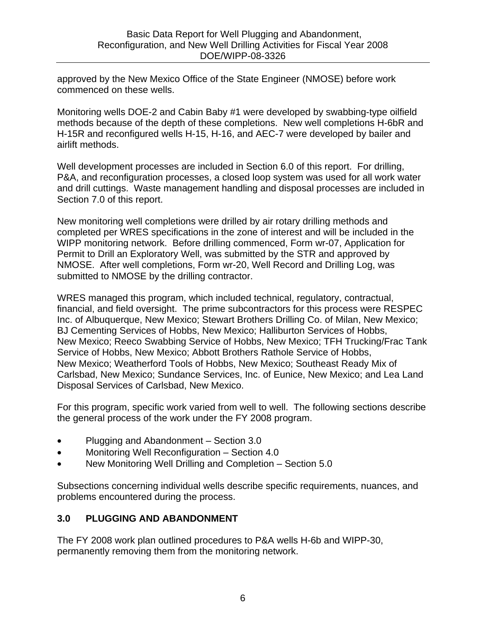approved by the New Mexico Office of the State Engineer (NMOSE) before work commenced on these wells.

Monitoring wells DOE-2 and Cabin Baby #1 were developed by swabbing-type oilfield methods because of the depth of these completions. New well completions H-6bR and H-15R and reconfigured wells H-15, H-16, and AEC-7 were developed by bailer and airlift methods.

Well development processes are included in Section 6.0 of this report. For drilling, P&A, and reconfiguration processes, a closed loop system was used for all work water and drill cuttings. Waste management handling and disposal processes are included in Section 7.0 of this report.

New monitoring well completions were drilled by air rotary drilling methods and completed per WRES specifications in the zone of interest and will be included in the WIPP monitoring network. Before drilling commenced, Form wr-07, Application for Permit to Drill an Exploratory Well, was submitted by the STR and approved by NMOSE. After well completions, Form wr-20, Well Record and Drilling Log, was submitted to NMOSE by the drilling contractor.

WRES managed this program, which included technical, regulatory, contractual, financial, and field oversight. The prime subcontractors for this process were RESPEC Inc. of Albuquerque, New Mexico; Stewart Brothers Drilling Co. of Milan, New Mexico; BJ Cementing Services of Hobbs, New Mexico; Halliburton Services of Hobbs, New Mexico; Reeco Swabbing Service of Hobbs, New Mexico; TFH Trucking/Frac Tank Service of Hobbs, New Mexico; Abbott Brothers Rathole Service of Hobbs, New Mexico; Weatherford Tools of Hobbs, New Mexico; Southeast Ready Mix of Carlsbad, New Mexico; Sundance Services, Inc. of Eunice, New Mexico; and Lea Land Disposal Services of Carlsbad, New Mexico.

For this program, specific work varied from well to well. The following sections describe the general process of the work under the FY 2008 program.

- Plugging and Abandonment Section 3.0
- Monitoring Well Reconfiguration Section 4.0
- New Monitoring Well Drilling and Completion Section 5.0

Subsections concerning individual wells describe specific requirements, nuances, and problems encountered during the process.

## **3.0 PLUGGING AND ABANDONMENT**

The FY 2008 work plan outlined procedures to P&A wells H-6b and WIPP-30, permanently removing them from the monitoring network.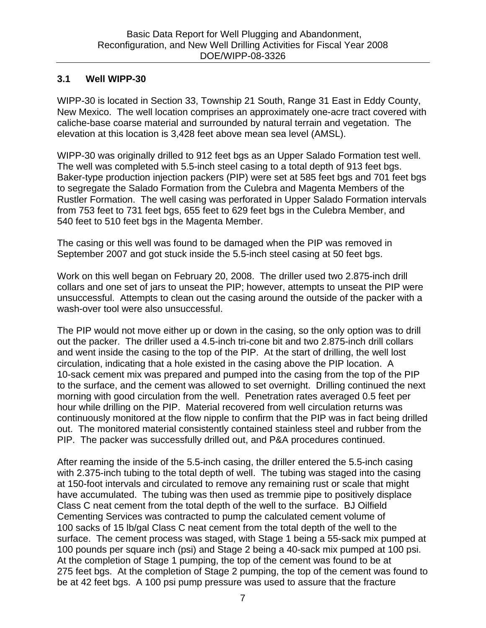## **3.1 Well WIPP-30**

WIPP-30 is located in Section 33, Township 21 South, Range 31 East in Eddy County, New Mexico. The well location comprises an approximately one-acre tract covered with caliche-base coarse material and surrounded by natural terrain and vegetation. The elevation at this location is 3,428 feet above mean sea level (AMSL).

WIPP-30 was originally drilled to 912 feet bgs as an Upper Salado Formation test well. The well was completed with 5.5-inch steel casing to a total depth of 913 feet bgs. Baker-type production injection packers (PIP) were set at 585 feet bgs and 701 feet bgs to segregate the Salado Formation from the Culebra and Magenta Members of the Rustler Formation. The well casing was perforated in Upper Salado Formation intervals from 753 feet to 731 feet bgs, 655 feet to 629 feet bgs in the Culebra Member, and 540 feet to 510 feet bgs in the Magenta Member.

The casing or this well was found to be damaged when the PIP was removed in September 2007 and got stuck inside the 5.5-inch steel casing at 50 feet bgs.

Work on this well began on February 20, 2008. The driller used two 2.875-inch drill collars and one set of jars to unseat the PIP; however, attempts to unseat the PIP were unsuccessful. Attempts to clean out the casing around the outside of the packer with a wash-over tool were also unsuccessful.

The PIP would not move either up or down in the casing, so the only option was to drill out the packer. The driller used a 4.5-inch tri-cone bit and two 2.875-inch drill collars and went inside the casing to the top of the PIP. At the start of drilling, the well lost circulation, indicating that a hole existed in the casing above the PIP location. A 10-sack cement mix was prepared and pumped into the casing from the top of the PIP to the surface, and the cement was allowed to set overnight. Drilling continued the next morning with good circulation from the well. Penetration rates averaged 0.5 feet per hour while drilling on the PIP. Material recovered from well circulation returns was continuously monitored at the flow nipple to confirm that the PIP was in fact being drilled out. The monitored material consistently contained stainless steel and rubber from the PIP. The packer was successfully drilled out, and P&A procedures continued.

After reaming the inside of the 5.5-inch casing, the driller entered the 5.5-inch casing with 2.375-inch tubing to the total depth of well. The tubing was staged into the casing at 150-foot intervals and circulated to remove any remaining rust or scale that might have accumulated. The tubing was then used as tremmie pipe to positively displace Class C neat cement from the total depth of the well to the surface. BJ Oilfield Cementing Services was contracted to pump the calculated cement volume of 100 sacks of 15 lb/gal Class C neat cement from the total depth of the well to the surface. The cement process was staged, with Stage 1 being a 55-sack mix pumped at 100 pounds per square inch (psi) and Stage 2 being a 40-sack mix pumped at 100 psi. At the completion of Stage 1 pumping, the top of the cement was found to be at 275 feet bgs. At the completion of Stage 2 pumping, the top of the cement was found to be at 42 feet bgs. A 100 psi pump pressure was used to assure that the fracture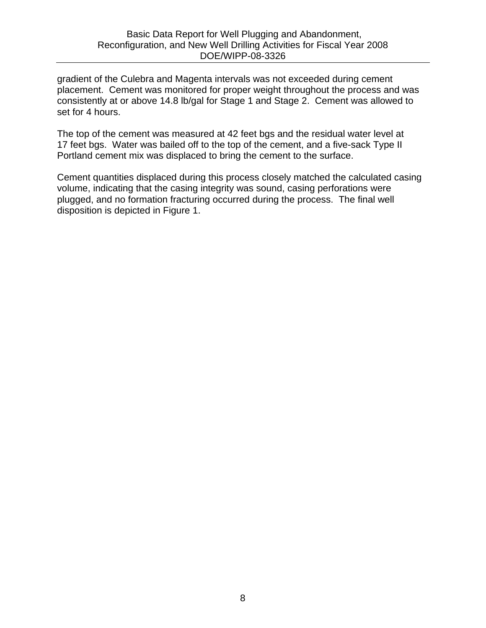gradient of the Culebra and Magenta intervals was not exceeded during cement placement. Cement was monitored for proper weight throughout the process and was consistently at or above 14.8 lb/gal for Stage 1 and Stage 2. Cement was allowed to set for 4 hours.

The top of the cement was measured at 42 feet bgs and the residual water level at 17 feet bgs. Water was bailed off to the top of the cement, and a five-sack Type II Portland cement mix was displaced to bring the cement to the surface.

Cement quantities displaced during this process closely matched the calculated casing volume, indicating that the casing integrity was sound, casing perforations were plugged, and no formation fracturing occurred during the process. The final well disposition is depicted in Figure 1.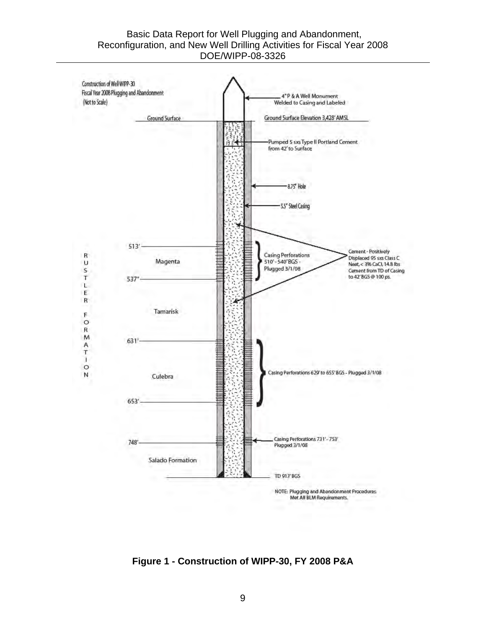#### Basic Data Report for Well Plugging and Abandonment, Reconfiguration, and New Well Drilling Activities for Fiscal Year 2008 DOE/WIPP-08-3326



**Figure 1 - Construction of WIPP-30, FY 2008 P&A**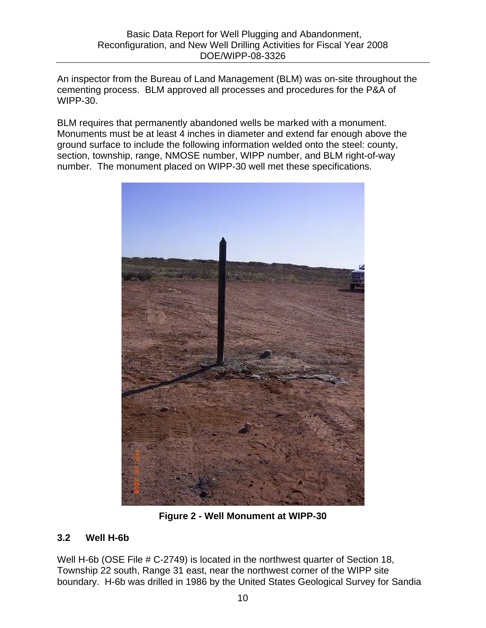An inspector from the Bureau of Land Management (BLM) was on-site throughout the cementing process. BLM approved all processes and procedures for the P&A of WIPP-30.

BLM requires that permanently abandoned wells be marked with a monument. Monuments must be at least 4 inches in diameter and extend far enough above the ground surface to include the following information welded onto the steel: county, section, township, range, NMOSE number, WIPP number, and BLM right-of-way number. The monument placed on WIPP-30 well met these specifications.



**Figure 2 - Well Monument at WIPP-30**

## **3.2 Well H-6b**

Well H-6b (OSE File # C-2749) is located in the northwest quarter of Section 18, Township 22 south, Range 31 east, near the northwest corner of the WIPP site boundary. H-6b was drilled in 1986 by the United States Geological Survey for Sandia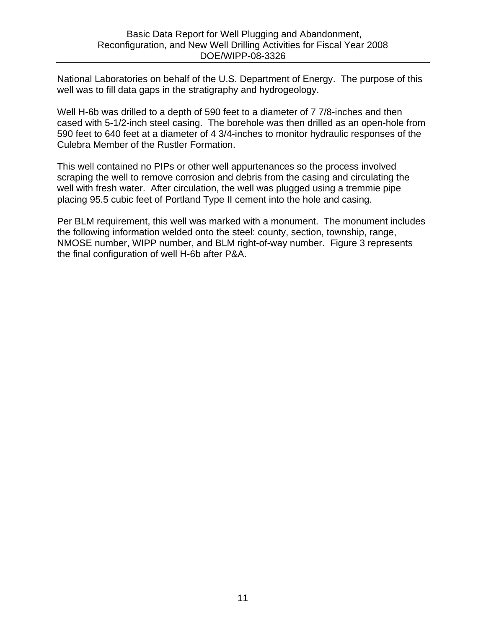National Laboratories on behalf of the U.S. Department of Energy. The purpose of this well was to fill data gaps in the stratigraphy and hydrogeology.

Well H-6b was drilled to a depth of 590 feet to a diameter of 7 7/8-inches and then cased with 5-1/2-inch steel casing. The borehole was then drilled as an open-hole from 590 feet to 640 feet at a diameter of 4 3/4-inches to monitor hydraulic responses of the Culebra Member of the Rustler Formation.

This well contained no PIPs or other well appurtenances so the process involved scraping the well to remove corrosion and debris from the casing and circulating the well with fresh water. After circulation, the well was plugged using a tremmie pipe placing 95.5 cubic feet of Portland Type II cement into the hole and casing.

Per BLM requirement, this well was marked with a monument. The monument includes the following information welded onto the steel: county, section, township, range, NMOSE number, WIPP number, and BLM right-of-way number. Figure 3 represents the final configuration of well H-6b after P&A.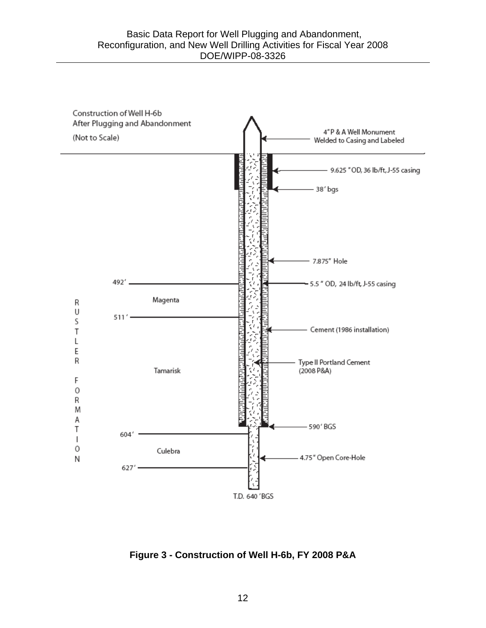

**Figure 3 - Construction of Well H-6b, FY 2008 P&A**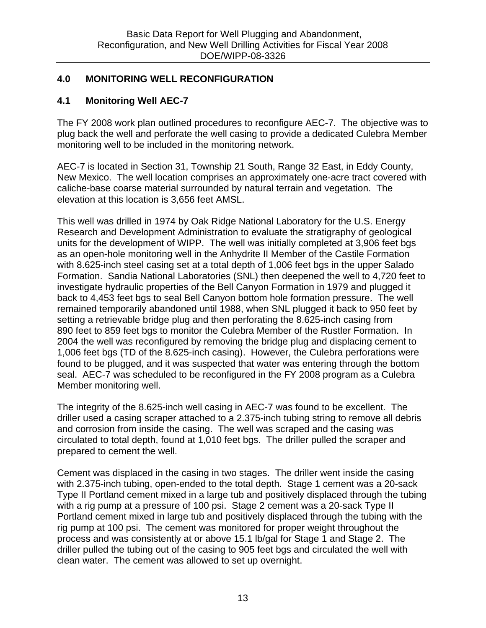#### **4.0 MONITORING WELL RECONFIGURATION**

#### **4.1 Monitoring Well AEC-7**

The FY 2008 work plan outlined procedures to reconfigure AEC-7. The objective was to plug back the well and perforate the well casing to provide a dedicated Culebra Member monitoring well to be included in the monitoring network.

AEC-7 is located in Section 31, Township 21 South, Range 32 East, in Eddy County, New Mexico. The well location comprises an approximately one-acre tract covered with caliche-base coarse material surrounded by natural terrain and vegetation. The elevation at this location is 3,656 feet AMSL.

This well was drilled in 1974 by Oak Ridge National Laboratory for the U.S. Energy Research and Development Administration to evaluate the stratigraphy of geological units for the development of WIPP. The well was initially completed at 3,906 feet bgs as an open-hole monitoring well in the Anhydrite II Member of the Castile Formation with 8.625-inch steel casing set at a total depth of 1,006 feet bgs in the upper Salado Formation. Sandia National Laboratories (SNL) then deepened the well to 4,720 feet to investigate hydraulic properties of the Bell Canyon Formation in 1979 and plugged it back to 4,453 feet bgs to seal Bell Canyon bottom hole formation pressure. The well remained temporarily abandoned until 1988, when SNL plugged it back to 950 feet by setting a retrievable bridge plug and then perforating the 8.625-inch casing from 890 feet to 859 feet bgs to monitor the Culebra Member of the Rustler Formation. In 2004 the well was reconfigured by removing the bridge plug and displacing cement to 1,006 feet bgs (TD of the 8.625-inch casing). However, the Culebra perforations were found to be plugged, and it was suspected that water was entering through the bottom seal. AEC-7 was scheduled to be reconfigured in the FY 2008 program as a Culebra Member monitoring well.

The integrity of the 8.625-inch well casing in AEC-7 was found to be excellent. The driller used a casing scraper attached to a 2.375-inch tubing string to remove all debris and corrosion from inside the casing. The well was scraped and the casing was circulated to total depth, found at 1,010 feet bgs. The driller pulled the scraper and prepared to cement the well.

Cement was displaced in the casing in two stages. The driller went inside the casing with 2.375-inch tubing, open-ended to the total depth. Stage 1 cement was a 20-sack Type II Portland cement mixed in a large tub and positively displaced through the tubing with a rig pump at a pressure of 100 psi. Stage 2 cement was a 20-sack Type II Portland cement mixed in large tub and positively displaced through the tubing with the rig pump at 100 psi. The cement was monitored for proper weight throughout the process and was consistently at or above 15.1 lb/gal for Stage 1 and Stage 2. The driller pulled the tubing out of the casing to 905 feet bgs and circulated the well with clean water. The cement was allowed to set up overnight.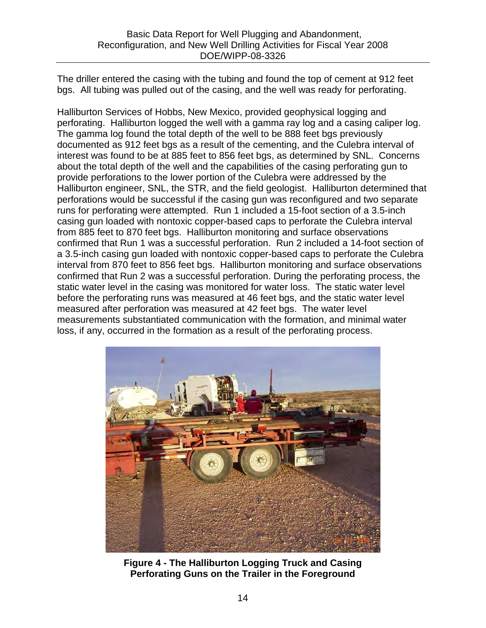The driller entered the casing with the tubing and found the top of cement at 912 feet bgs. All tubing was pulled out of the casing, and the well was ready for perforating.

Halliburton Services of Hobbs, New Mexico, provided geophysical logging and perforating. Halliburton logged the well with a gamma ray log and a casing caliper log. The gamma log found the total depth of the well to be 888 feet bgs previously documented as 912 feet bgs as a result of the cementing, and the Culebra interval of interest was found to be at 885 feet to 856 feet bgs, as determined by SNL. Concerns about the total depth of the well and the capabilities of the casing perforating gun to provide perforations to the lower portion of the Culebra were addressed by the Halliburton engineer, SNL, the STR, and the field geologist. Halliburton determined that perforations would be successful if the casing gun was reconfigured and two separate runs for perforating were attempted. Run 1 included a 15-foot section of a 3.5-inch casing gun loaded with nontoxic copper-based caps to perforate the Culebra interval from 885 feet to 870 feet bgs. Halliburton monitoring and surface observations confirmed that Run 1 was a successful perforation. Run 2 included a 14-foot section of a 3.5-inch casing gun loaded with nontoxic copper-based caps to perforate the Culebra interval from 870 feet to 856 feet bgs. Halliburton monitoring and surface observations confirmed that Run 2 was a successful perforation. During the perforating process, the static water level in the casing was monitored for water loss. The static water level before the perforating runs was measured at 46 feet bgs, and the static water level measured after perforation was measured at 42 feet bgs. The water level measurements substantiated communication with the formation, and minimal water loss, if any, occurred in the formation as a result of the perforating process.



**Figure 4 - The Halliburton Logging Truck and Casing Perforating Guns on the Trailer in the Foreground**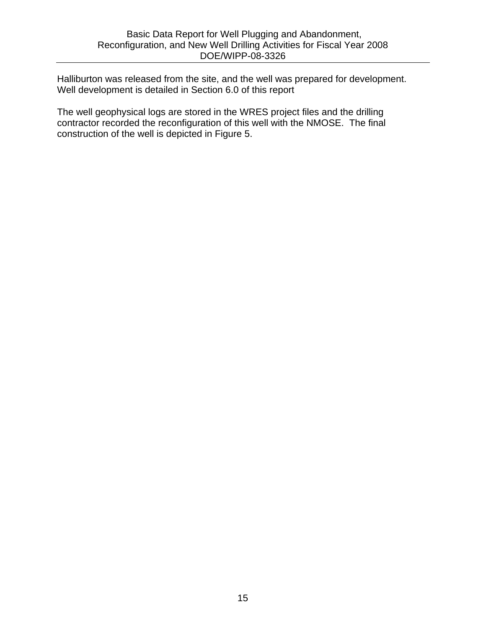Halliburton was released from the site, and the well was prepared for development. Well development is detailed in Section 6.0 of this report

The well geophysical logs are stored in the WRES project files and the drilling contractor recorded the reconfiguration of this well with the NMOSE. The final construction of the well is depicted in Figure 5.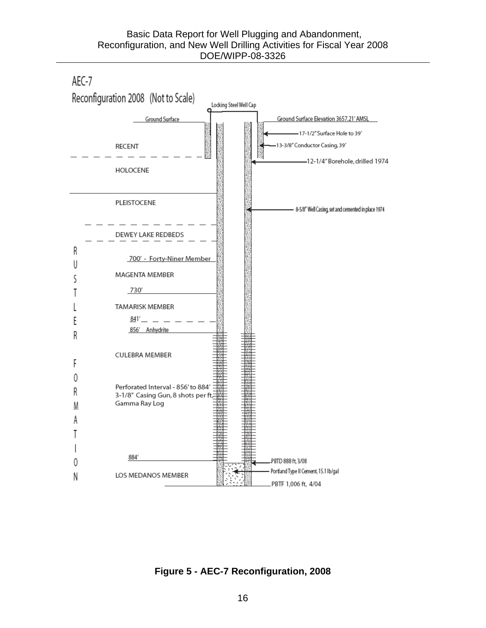

**Figure 5 - AEC-7 Reconfiguration, 2008**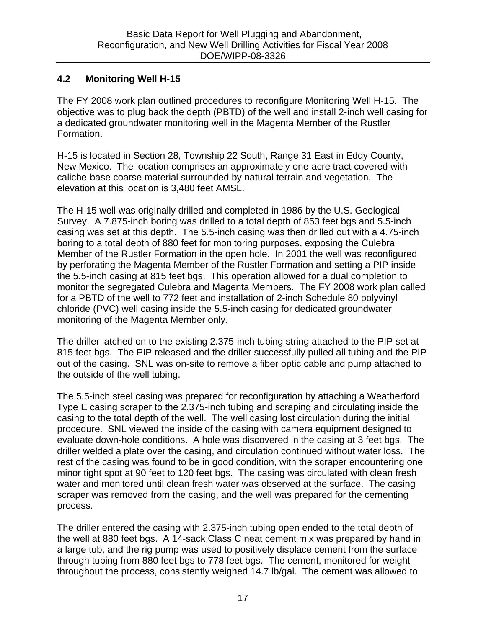## **4.2 Monitoring Well H-15**

The FY 2008 work plan outlined procedures to reconfigure Monitoring Well H-15. The objective was to plug back the depth (PBTD) of the well and install 2-inch well casing for a dedicated groundwater monitoring well in the Magenta Member of the Rustler Formation.

H-15 is located in Section 28, Township 22 South, Range 31 East in Eddy County, New Mexico. The location comprises an approximately one-acre tract covered with caliche-base coarse material surrounded by natural terrain and vegetation. The elevation at this location is 3,480 feet AMSL.

The H-15 well was originally drilled and completed in 1986 by the U.S. Geological Survey. A 7.875-inch boring was drilled to a total depth of 853 feet bgs and 5.5-inch casing was set at this depth. The 5.5-inch casing was then drilled out with a 4.75-inch boring to a total depth of 880 feet for monitoring purposes, exposing the Culebra Member of the Rustler Formation in the open hole. In 2001 the well was reconfigured by perforating the Magenta Member of the Rustler Formation and setting a PIP inside the 5.5-inch casing at 815 feet bgs. This operation allowed for a dual completion to monitor the segregated Culebra and Magenta Members. The FY 2008 work plan called for a PBTD of the well to 772 feet and installation of 2-inch Schedule 80 polyvinyl chloride (PVC) well casing inside the 5.5-inch casing for dedicated groundwater monitoring of the Magenta Member only.

The driller latched on to the existing 2.375-inch tubing string attached to the PIP set at 815 feet bgs. The PIP released and the driller successfully pulled all tubing and the PIP out of the casing. SNL was on-site to remove a fiber optic cable and pump attached to the outside of the well tubing.

The 5.5-inch steel casing was prepared for reconfiguration by attaching a Weatherford Type E casing scraper to the 2.375-inch tubing and scraping and circulating inside the casing to the total depth of the well. The well casing lost circulation during the initial procedure. SNL viewed the inside of the casing with camera equipment designed to evaluate down-hole conditions. A hole was discovered in the casing at 3 feet bgs. The driller welded a plate over the casing, and circulation continued without water loss. The rest of the casing was found to be in good condition, with the scraper encountering one minor tight spot at 90 feet to 120 feet bgs. The casing was circulated with clean fresh water and monitored until clean fresh water was observed at the surface. The casing scraper was removed from the casing, and the well was prepared for the cementing process.

The driller entered the casing with 2.375-inch tubing open ended to the total depth of the well at 880 feet bgs. A 14-sack Class C neat cement mix was prepared by hand in a large tub, and the rig pump was used to positively displace cement from the surface through tubing from 880 feet bgs to 778 feet bgs. The cement, monitored for weight throughout the process, consistently weighed 14.7 lb/gal. The cement was allowed to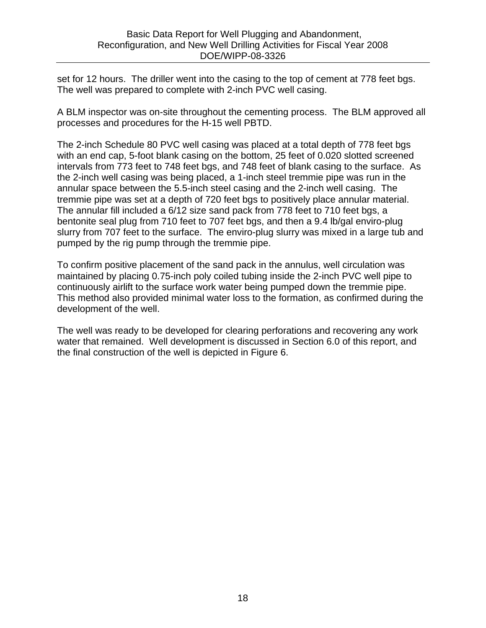set for 12 hours. The driller went into the casing to the top of cement at 778 feet bgs. The well was prepared to complete with 2-inch PVC well casing.

A BLM inspector was on-site throughout the cementing process. The BLM approved all processes and procedures for the H-15 well PBTD.

The 2-inch Schedule 80 PVC well casing was placed at a total depth of 778 feet bgs with an end cap, 5-foot blank casing on the bottom, 25 feet of 0.020 slotted screened intervals from 773 feet to 748 feet bgs, and 748 feet of blank casing to the surface. As the 2-inch well casing was being placed, a 1-inch steel tremmie pipe was run in the annular space between the 5.5-inch steel casing and the 2-inch well casing. The tremmie pipe was set at a depth of 720 feet bgs to positively place annular material. The annular fill included a 6/12 size sand pack from 778 feet to 710 feet bgs, a bentonite seal plug from 710 feet to 707 feet bgs, and then a 9.4 lb/gal enviro-plug slurry from 707 feet to the surface. The enviro-plug slurry was mixed in a large tub and pumped by the rig pump through the tremmie pipe.

To confirm positive placement of the sand pack in the annulus, well circulation was maintained by placing 0.75-inch poly coiled tubing inside the 2-inch PVC well pipe to continuously airlift to the surface work water being pumped down the tremmie pipe. This method also provided minimal water loss to the formation, as confirmed during the development of the well.

The well was ready to be developed for clearing perforations and recovering any work water that remained. Well development is discussed in Section 6.0 of this report, and the final construction of the well is depicted in Figure 6.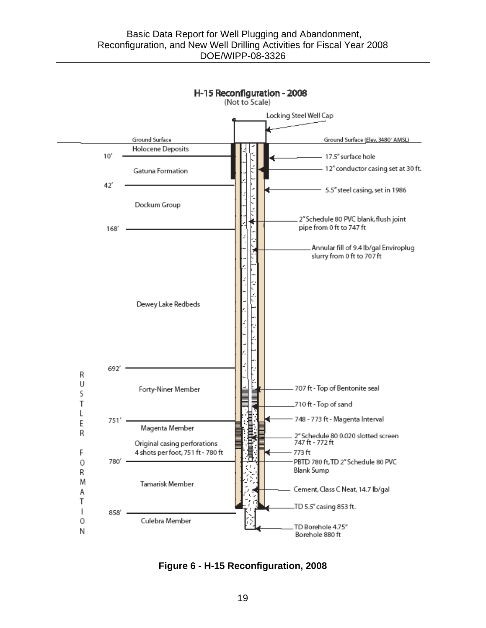

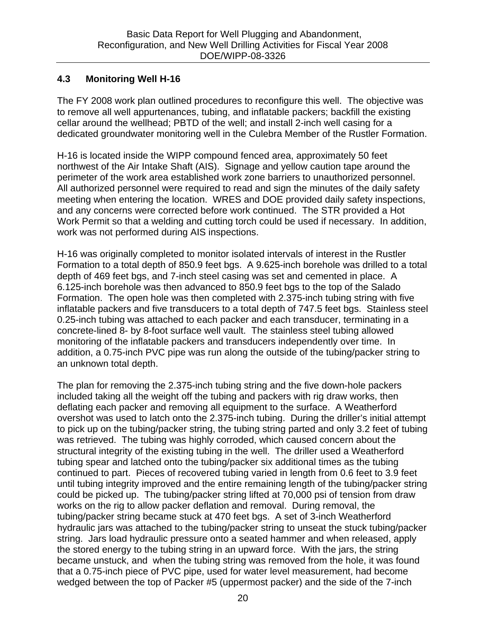#### **4.3 Monitoring Well H-16**

The FY 2008 work plan outlined procedures to reconfigure this well. The objective was to remove all well appurtenances, tubing, and inflatable packers; backfill the existing cellar around the wellhead; PBTD of the well; and install 2-inch well casing for a dedicated groundwater monitoring well in the Culebra Member of the Rustler Formation.

H-16 is located inside the WIPP compound fenced area, approximately 50 feet northwest of the Air Intake Shaft (AIS). Signage and yellow caution tape around the perimeter of the work area established work zone barriers to unauthorized personnel. All authorized personnel were required to read and sign the minutes of the daily safety meeting when entering the location. WRES and DOE provided daily safety inspections, and any concerns were corrected before work continued. The STR provided a Hot Work Permit so that a welding and cutting torch could be used if necessary. In addition, work was not performed during AIS inspections.

H-16 was originally completed to monitor isolated intervals of interest in the Rustler Formation to a total depth of 850.9 feet bgs. A 9.625-inch borehole was drilled to a total depth of 469 feet bgs, and 7-inch steel casing was set and cemented in place. A 6.125-inch borehole was then advanced to 850.9 feet bgs to the top of the Salado Formation. The open hole was then completed with 2.375-inch tubing string with five inflatable packers and five transducers to a total depth of 747.5 feet bgs. Stainless steel 0.25-inch tubing was attached to each packer and each transducer, terminating in a concrete-lined 8- by 8-foot surface well vault. The stainless steel tubing allowed monitoring of the inflatable packers and transducers independently over time. In addition, a 0.75-inch PVC pipe was run along the outside of the tubing/packer string to an unknown total depth.

The plan for removing the 2.375-inch tubing string and the five down-hole packers included taking all the weight off the tubing and packers with rig draw works, then deflating each packer and removing all equipment to the surface. A Weatherford overshot was used to latch onto the 2.375-inch tubing. During the driller's initial attempt to pick up on the tubing/packer string, the tubing string parted and only 3.2 feet of tubing was retrieved. The tubing was highly corroded, which caused concern about the structural integrity of the existing tubing in the well. The driller used a Weatherford tubing spear and latched onto the tubing/packer six additional times as the tubing continued to part. Pieces of recovered tubing varied in length from 0.6 feet to 3.9 feet until tubing integrity improved and the entire remaining length of the tubing/packer string could be picked up. The tubing/packer string lifted at 70,000 psi of tension from draw works on the rig to allow packer deflation and removal. During removal, the tubing/packer string became stuck at 470 feet bgs. A set of 3-inch Weatherford hydraulic jars was attached to the tubing/packer string to unseat the stuck tubing/packer string. Jars load hydraulic pressure onto a seated hammer and when released, apply the stored energy to the tubing string in an upward force. With the jars, the string became unstuck, and when the tubing string was removed from the hole, it was found that a 0.75-inch piece of PVC pipe, used for water level measurement, had become wedged between the top of Packer #5 (uppermost packer) and the side of the 7-inch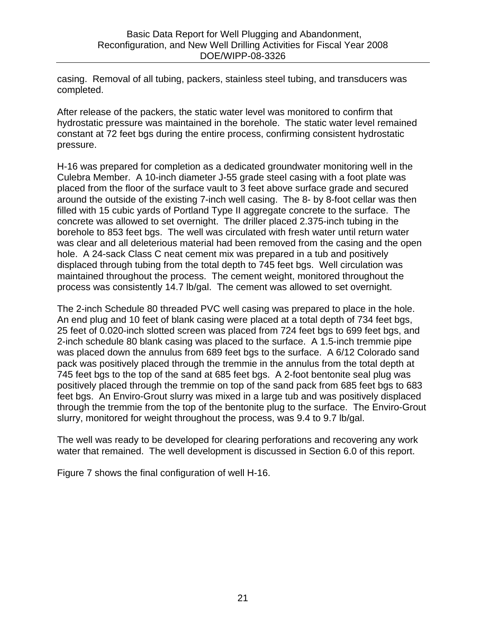casing. Removal of all tubing, packers, stainless steel tubing, and transducers was completed.

After release of the packers, the static water level was monitored to confirm that hydrostatic pressure was maintained in the borehole. The static water level remained constant at 72 feet bgs during the entire process, confirming consistent hydrostatic pressure.

H-16 was prepared for completion as a dedicated groundwater monitoring well in the Culebra Member. A 10-inch diameter J-55 grade steel casing with a foot plate was placed from the floor of the surface vault to 3 feet above surface grade and secured around the outside of the existing 7-inch well casing. The 8- by 8-foot cellar was then filled with 15 cubic yards of Portland Type II aggregate concrete to the surface. The concrete was allowed to set overnight. The driller placed 2.375-inch tubing in the borehole to 853 feet bgs. The well was circulated with fresh water until return water was clear and all deleterious material had been removed from the casing and the open hole. A 24-sack Class C neat cement mix was prepared in a tub and positively displaced through tubing from the total depth to 745 feet bgs. Well circulation was maintained throughout the process. The cement weight, monitored throughout the process was consistently 14.7 lb/gal. The cement was allowed to set overnight.

The 2-inch Schedule 80 threaded PVC well casing was prepared to place in the hole. An end plug and 10 feet of blank casing were placed at a total depth of 734 feet bgs, 25 feet of 0.020-inch slotted screen was placed from 724 feet bgs to 699 feet bgs, and 2-inch schedule 80 blank casing was placed to the surface. A 1.5-inch tremmie pipe was placed down the annulus from 689 feet bgs to the surface. A 6/12 Colorado sand pack was positively placed through the tremmie in the annulus from the total depth at 745 feet bgs to the top of the sand at 685 feet bgs. A 2-foot bentonite seal plug was positively placed through the tremmie on top of the sand pack from 685 feet bgs to 683 feet bgs. An Enviro-Grout slurry was mixed in a large tub and was positively displaced through the tremmie from the top of the bentonite plug to the surface. The Enviro-Grout slurry, monitored for weight throughout the process, was 9.4 to 9.7 lb/gal.

The well was ready to be developed for clearing perforations and recovering any work water that remained. The well development is discussed in Section 6.0 of this report.

Figure 7 shows the final configuration of well H-16.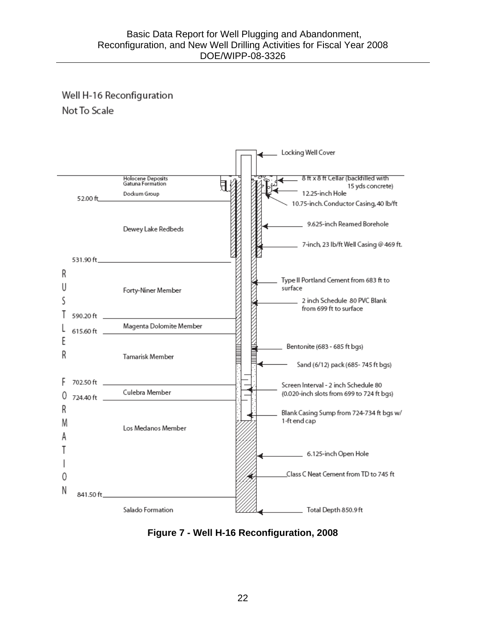# Well H-16 Reconfiguration Not To Scale



**Figure 7 - Well H-16 Reconfiguration, 2008**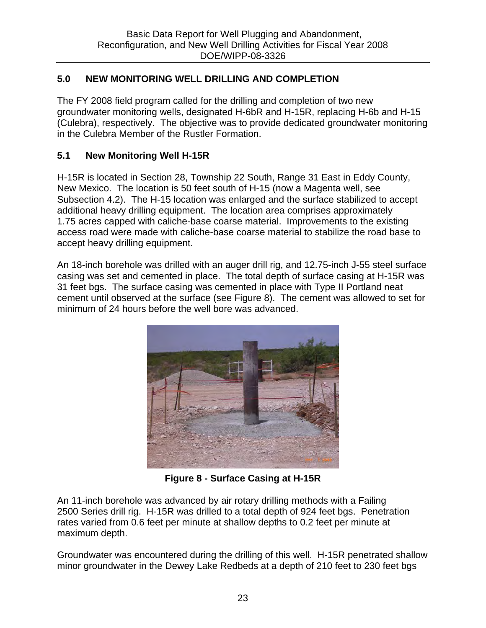## **5.0 NEW MONITORING WELL DRILLING AND COMPLETION**

The FY 2008 field program called for the drilling and completion of two new groundwater monitoring wells, designated H-6bR and H-15R, replacing H-6b and H-15 (Culebra), respectively. The objective was to provide dedicated groundwater monitoring in the Culebra Member of the Rustler Formation.

#### **5.1 New Monitoring Well H-15R**

H-15R is located in Section 28, Township 22 South, Range 31 East in Eddy County, New Mexico. The location is 50 feet south of H-15 (now a Magenta well, see Subsection 4.2). The H-15 location was enlarged and the surface stabilized to accept additional heavy drilling equipment. The location area comprises approximately 1.75 acres capped with caliche-base coarse material. Improvements to the existing access road were made with caliche-base coarse material to stabilize the road base to accept heavy drilling equipment.

An 18-inch borehole was drilled with an auger drill rig, and 12.75-inch J-55 steel surface casing was set and cemented in place. The total depth of surface casing at H-15R was 31 feet bgs. The surface casing was cemented in place with Type II Portland neat cement until observed at the surface (see Figure 8). The cement was allowed to set for minimum of 24 hours before the well bore was advanced.



**Figure 8 - Surface Casing at H-15R** 

An 11-inch borehole was advanced by air rotary drilling methods with a Failing 2500 Series drill rig. H-15R was drilled to a total depth of 924 feet bgs. Penetration rates varied from 0.6 feet per minute at shallow depths to 0.2 feet per minute at maximum depth.

Groundwater was encountered during the drilling of this well. H-15R penetrated shallow minor groundwater in the Dewey Lake Redbeds at a depth of 210 feet to 230 feet bgs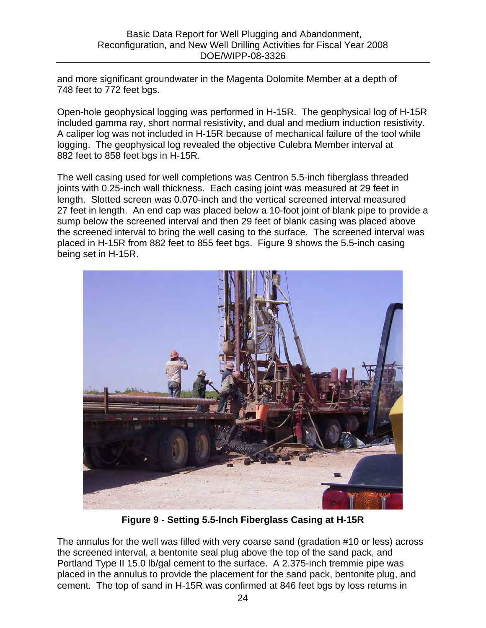and more significant groundwater in the Magenta Dolomite Member at a depth of 748 feet to 772 feet bgs.

Open-hole geophysical logging was performed in H-15R. The geophysical log of H-15R included gamma ray, short normal resistivity, and dual and medium induction resistivity. A caliper log was not included in H-15R because of mechanical failure of the tool while logging. The geophysical log revealed the objective Culebra Member interval at 882 feet to 858 feet bgs in H-15R.

The well casing used for well completions was Centron 5.5-inch fiberglass threaded joints with 0.25-inch wall thickness. Each casing joint was measured at 29 feet in length. Slotted screen was 0.070-inch and the vertical screened interval measured 27 feet in length. An end cap was placed below a 10-foot joint of blank pipe to provide a sump below the screened interval and then 29 feet of blank casing was placed above the screened interval to bring the well casing to the surface. The screened interval was placed in H-15R from 882 feet to 855 feet bgs. Figure 9 shows the 5.5-inch casing being set in H-15R.



**Figure 9 - Setting 5.5-Inch Fiberglass Casing at H-15R** 

The annulus for the well was filled with very coarse sand (gradation #10 or less) across the screened interval, a bentonite seal plug above the top of the sand pack, and Portland Type II 15.0 lb/gal cement to the surface. A 2.375-inch tremmie pipe was placed in the annulus to provide the placement for the sand pack, bentonite plug, and cement. The top of sand in H-15R was confirmed at 846 feet bgs by loss returns in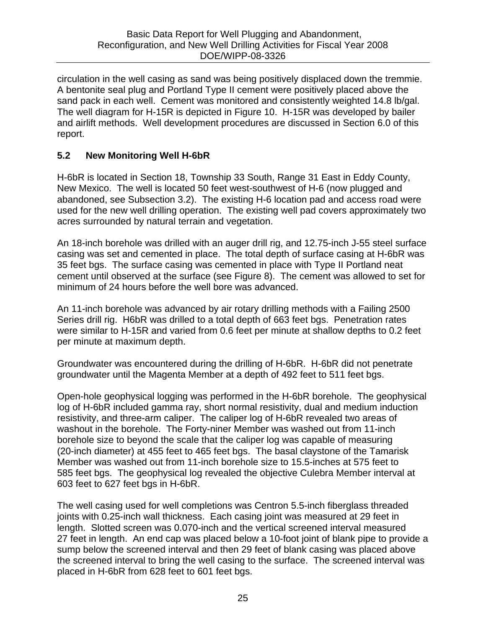circulation in the well casing as sand was being positively displaced down the tremmie. A bentonite seal plug and Portland Type II cement were positively placed above the sand pack in each well. Cement was monitored and consistently weighted 14.8 lb/gal. The well diagram for H-15R is depicted in Figure 10. H-15R was developed by bailer and airlift methods. Well development procedures are discussed in Section 6.0 of this report.

## **5.2 New Monitoring Well H-6bR**

H-6bR is located in Section 18, Township 33 South, Range 31 East in Eddy County, New Mexico. The well is located 50 feet west-southwest of H-6 (now plugged and abandoned, see Subsection 3.2). The existing H-6 location pad and access road were used for the new well drilling operation. The existing well pad covers approximately two acres surrounded by natural terrain and vegetation.

An 18-inch borehole was drilled with an auger drill rig, and 12.75-inch J-55 steel surface casing was set and cemented in place. The total depth of surface casing at H-6bR was 35 feet bgs. The surface casing was cemented in place with Type II Portland neat cement until observed at the surface (see Figure 8). The cement was allowed to set for minimum of 24 hours before the well bore was advanced.

An 11-inch borehole was advanced by air rotary drilling methods with a Failing 2500 Series drill rig. H6bR was drilled to a total depth of 663 feet bgs. Penetration rates were similar to H-15R and varied from 0.6 feet per minute at shallow depths to 0.2 feet per minute at maximum depth.

Groundwater was encountered during the drilling of H-6bR. H-6bR did not penetrate groundwater until the Magenta Member at a depth of 492 feet to 511 feet bgs.

Open-hole geophysical logging was performed in the H-6bR borehole. The geophysical log of H-6bR included gamma ray, short normal resistivity, dual and medium induction resistivity, and three-arm caliper. The caliper log of H-6bR revealed two areas of washout in the borehole. The Forty-niner Member was washed out from 11-inch borehole size to beyond the scale that the caliper log was capable of measuring (20-inch diameter) at 455 feet to 465 feet bgs. The basal claystone of the Tamarisk Member was washed out from 11-inch borehole size to 15.5-inches at 575 feet to 585 feet bgs. The geophysical log revealed the objective Culebra Member interval at 603 feet to 627 feet bgs in H-6bR.

The well casing used for well completions was Centron 5.5-inch fiberglass threaded joints with 0.25-inch wall thickness. Each casing joint was measured at 29 feet in length. Slotted screen was 0.070-inch and the vertical screened interval measured 27 feet in length. An end cap was placed below a 10-foot joint of blank pipe to provide a sump below the screened interval and then 29 feet of blank casing was placed above the screened interval to bring the well casing to the surface. The screened interval was placed in H-6bR from 628 feet to 601 feet bgs.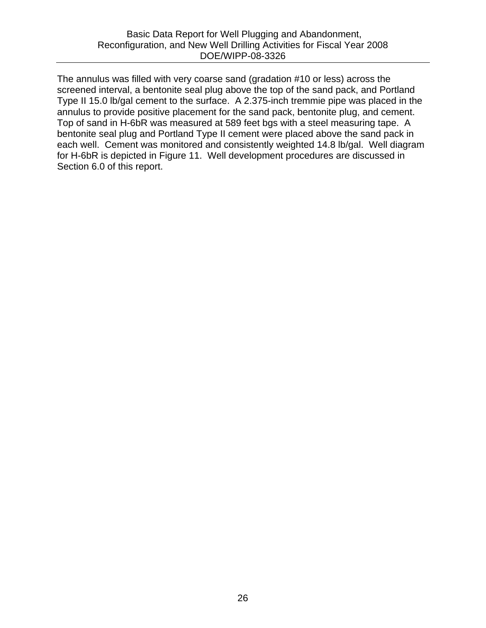The annulus was filled with very coarse sand (gradation #10 or less) across the screened interval, a bentonite seal plug above the top of the sand pack, and Portland Type II 15.0 lb/gal cement to the surface. A 2.375-inch tremmie pipe was placed in the annulus to provide positive placement for the sand pack, bentonite plug, and cement. Top of sand in H-6bR was measured at 589 feet bgs with a steel measuring tape. A bentonite seal plug and Portland Type II cement were placed above the sand pack in each well. Cement was monitored and consistently weighted 14.8 lb/gal. Well diagram for H-6bR is depicted in Figure 11. Well development procedures are discussed in Section 6.0 of this report.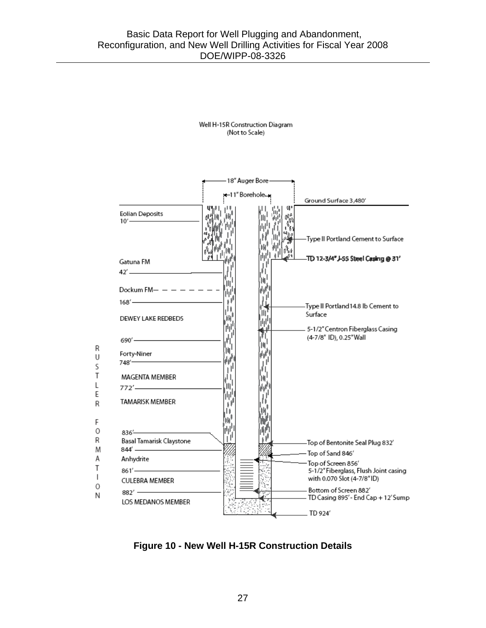Well H-15R Construction Diagram (Not to Scale)



**Figure 10 - New Well H-15R Construction Details**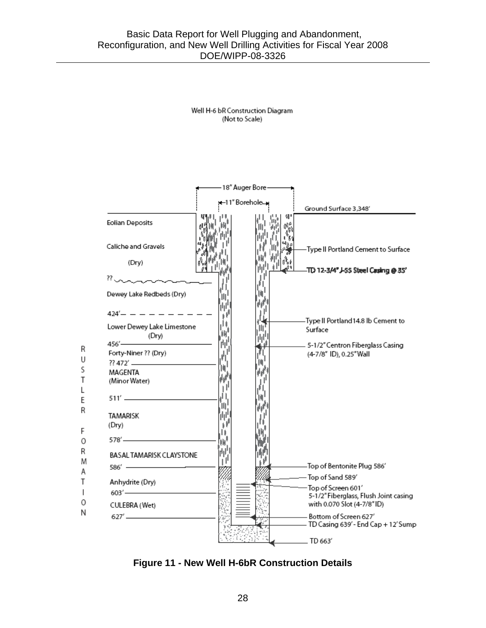Well H-6 bR Construction Diagram (Not to Scale)



**Figure 11 - New Well H-6bR Construction Details**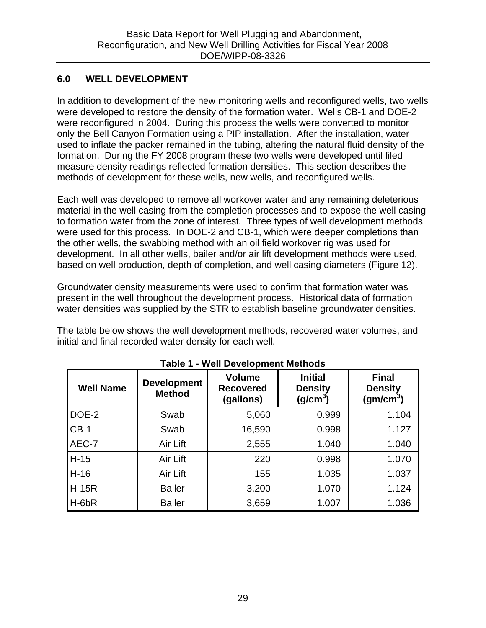#### **6.0 WELL DEVELOPMENT**

In addition to development of the new monitoring wells and reconfigured wells, two wells were developed to restore the density of the formation water. Wells CB-1 and DOE-2 were reconfigured in 2004. During this process the wells were converted to monitor only the Bell Canyon Formation using a PIP installation. After the installation, water used to inflate the packer remained in the tubing, altering the natural fluid density of the formation. During the FY 2008 program these two wells were developed until filed measure density readings reflected formation densities. This section describes the methods of development for these wells, new wells, and reconfigured wells.

Each well was developed to remove all workover water and any remaining deleterious material in the well casing from the completion processes and to expose the well casing to formation water from the zone of interest. Three types of well development methods were used for this process. In DOE-2 and CB-1, which were deeper completions than the other wells, the swabbing method with an oil field workover rig was used for development. In all other wells, bailer and/or air lift development methods were used, based on well production, depth of completion, and well casing diameters (Figure 12).

Groundwater density measurements were used to confirm that formation water was present in the well throughout the development process. Historical data of formation water densities was supplied by the STR to establish baseline groundwater densities.

The table below shows the well development methods, recovered water volumes, and initial and final recorded water density for each well.

| <b>Well Name</b> | <b>Development</b><br><b>Method</b> | <b>Volume</b><br><b>Recovered</b><br>(gallons) | <b>Initial</b><br><b>Density</b><br>(g/cm <sup>3</sup> ) | <b>Final</b><br><b>Density</b><br>(gm/cm <sup>3</sup> ) |
|------------------|-------------------------------------|------------------------------------------------|----------------------------------------------------------|---------------------------------------------------------|
| DOE-2            | Swab                                | 5,060                                          | 0.999                                                    | 1.104                                                   |
| $CB-1$           | Swab                                | 16,590                                         | 0.998                                                    | 1.127                                                   |
| AEC-7            | Air Lift                            | 2,555                                          | 1.040                                                    | 1.040                                                   |
| $H-15$           | Air Lift                            | 220                                            | 0.998                                                    | 1.070                                                   |
| $H-16$           | Air Lift                            | 155                                            | 1.035                                                    | 1.037                                                   |
| $H-15R$          | <b>Bailer</b>                       | 3,200                                          | 1.070                                                    | 1.124                                                   |
| $H$ -6 $bR$      | <b>Bailer</b>                       | 3,659                                          | 1.007                                                    | 1.036                                                   |

| <b>Table 1 - Well Development Methods</b> |  |
|-------------------------------------------|--|
|-------------------------------------------|--|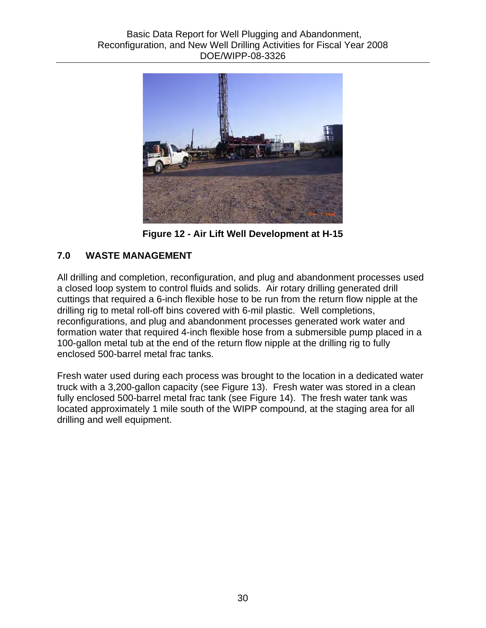

**Figure 12 - Air Lift Well Development at H-15** 

# **7.0 WASTE MANAGEMENT**

All drilling and completion, reconfiguration, and plug and abandonment processes used a closed loop system to control fluids and solids. Air rotary drilling generated drill cuttings that required a 6-inch flexible hose to be run from the return flow nipple at the drilling rig to metal roll-off bins covered with 6-mil plastic. Well completions, reconfigurations, and plug and abandonment processes generated work water and formation water that required 4-inch flexible hose from a submersible pump placed in a 100-gallon metal tub at the end of the return flow nipple at the drilling rig to fully enclosed 500-barrel metal frac tanks.

Fresh water used during each process was brought to the location in a dedicated water truck with a 3,200-gallon capacity (see Figure 13). Fresh water was stored in a clean fully enclosed 500-barrel metal frac tank (see Figure 14). The fresh water tank was located approximately 1 mile south of the WIPP compound, at the staging area for all drilling and well equipment.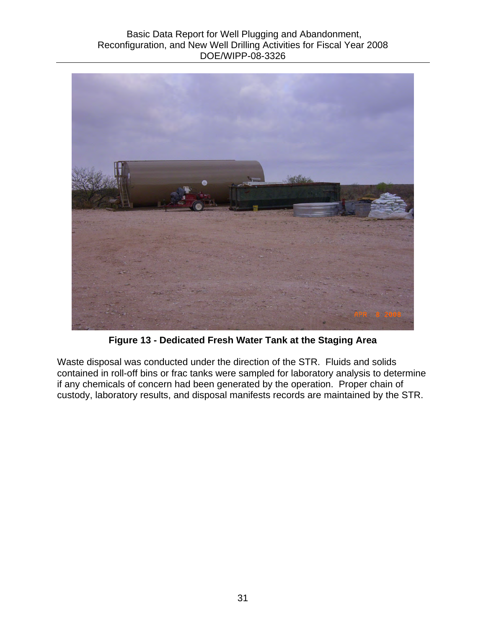#### Basic Data Report for Well Plugging and Abandonment, Reconfiguration, and New Well Drilling Activities for Fiscal Year 2008 DOE/WIPP-08-3326



**Figure 13 - Dedicated Fresh Water Tank at the Staging Area** 

Waste disposal was conducted under the direction of the STR. Fluids and solids contained in roll-off bins or frac tanks were sampled for laboratory analysis to determine if any chemicals of concern had been generated by the operation. Proper chain of custody, laboratory results, and disposal manifests records are maintained by the STR.